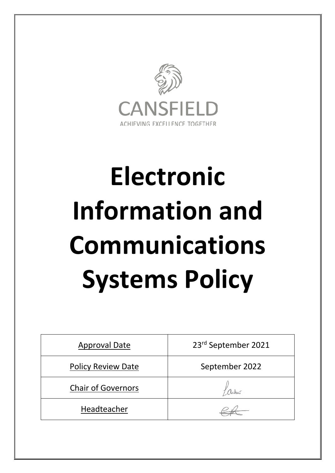

# **Electronic Information and Communications Systems Policy**

| <b>Approval Date</b>      | 23rd September 2021 |
|---------------------------|---------------------|
| <b>Policy Review Date</b> | September 2022      |
| <b>Chair of Governors</b> |                     |
| Headteacher               |                     |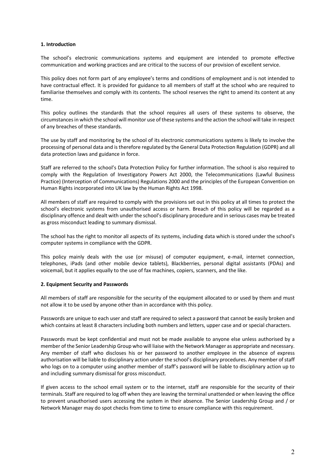## **1. Introduction**

The school's electronic communications systems and equipment are intended to promote effective communication and working practices and are critical to the success of our provision of excellent service.

This policy does not form part of any employee's terms and conditions of employment and is not intended to have contractual effect. It is provided for guidance to all members of staff at the school who are required to familiarise themselves and comply with its contents. The school reserves the right to amend its content at any time.

This policy outlines the standards that the school requires all users of these systems to observe, the circumstances in which the school will monitor use of these systems and the action the school will take in respect of any breaches of these standards.

The use by staff and monitoring by the school of its electronic communications systems is likely to involve the processing of personal data and is therefore regulated by the General Data Protection Regulation (GDPR) and all data protection laws and guidance in force.

Staff are referred to the school's Data Protection Policy for further information. The school is also required to comply with the Regulation of Investigatory Powers Act 2000, the Telecommunications (Lawful Business Practice) (Interception of Communications) Regulations 2000 and the principles of the European Convention on Human Rights incorporated into UK law by the Human Rights Act 1998.

All members of staff are required to comply with the provisions set out in this policy at all times to protect the school's electronic systems from unauthorised access or harm. Breach of this policy will be regarded as a disciplinary offence and dealt with under the school's disciplinary procedure and in serious cases may be treated as gross misconduct leading to summary dismissal.

The school has the right to monitor all aspects of its systems, including data which is stored under the school's computer systems in compliance with the GDPR.

This policy mainly deals with the use (or misuse) of computer equipment, e-mail, internet connection, telephones, iPads (and other mobile device tablets), Blackberries, personal digital assistants (PDAs) and voicemail, but it applies equally to the use of fax machines, copiers, scanners, and the like.

## **2. Equipment Security and Passwords**

All members of staff are responsible for the security of the equipment allocated to or used by them and must not allow it to be used by anyone other than in accordance with this policy.

Passwords are unique to each user and staff are required to select a password that cannot be easily broken and which contains at least 8 characters including both numbers and letters, upper case and or special characters.

Passwords must be kept confidential and must not be made available to anyone else unless authorised by a member of the Senior Leadership Group who will liaise with the Network Manager as appropriate and necessary. Any member of staff who discloses his or her password to another employee in the absence of express authorisation will be liable to disciplinary action under the school's disciplinary procedures. Any member of staff who logs on to a computer using another member of staff's password will be liable to disciplinary action up to and including summary dismissal for gross misconduct.

If given access to the school email system or to the internet, staff are responsible for the security of their terminals. Staff are required to log off when they are leaving the terminal unattended or when leaving the office to prevent unauthorised users accessing the system in their absence. The Senior Leadership Group and / or Network Manager may do spot checks from time to time to ensure compliance with this requirement.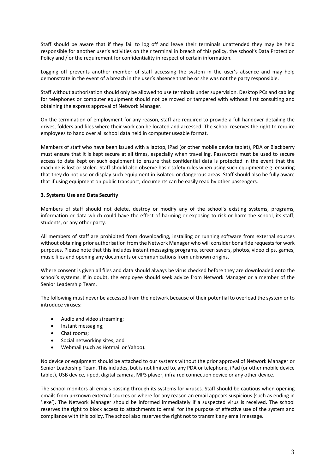Staff should be aware that if they fail to log off and leave their terminals unattended they may be held responsible for another user's activities on their terminal in breach of this policy, the school's Data Protection Policy and / or the requirement for confidentiality in respect of certain information.

Logging off prevents another member of staff accessing the system in the user's absence and may help demonstrate in the event of a breach in the user's absence that he or she was not the party responsible.

Staff without authorisation should only be allowed to use terminals under supervision. Desktop PCs and cabling for telephones or computer equipment should not be moved or tampered with without first consulting and obtaining the express approval of Network Manager.

On the termination of employment for any reason, staff are required to provide a full handover detailing the drives, folders and files where their work can be located and accessed. The school reserves the right to require employees to hand over all school data held in computer useable format.

Members of staff who have been issued with a laptop, iPad (or other mobile device tablet), PDA or Blackberry must ensure that it is kept secure at all times, especially when travelling. Passwords must be used to secure access to data kept on such equipment to ensure that confidential data is protected in the event that the machine is lost or stolen. Staff should also observe basic safety rules when using such equipment e.g. ensuring that they do not use or display such equipment in isolated or dangerous areas. Staff should also be fully aware that if using equipment on public transport, documents can be easily read by other passengers.

# **3. Systems Use and Data Security**

Members of staff should not delete, destroy or modify any of the school's existing systems, programs, information or data which could have the effect of harming or exposing to risk or harm the school, its staff, students, or any other party.

All members of staff are prohibited from downloading, installing or running software from external sources without obtaining prior authorisation from the Network Manager who will consider bona fide requests for work purposes. Please note that this includes instant messaging programs, screen savers, photos, video clips, games, music files and opening any documents or communications from unknown origins.

Where consent is given all files and data should always be virus checked before they are downloaded onto the school's systems. If in doubt, the employee should seek advice from Network Manager or a member of the Senior Leadership Team.

The following must never be accessed from the network because of their potential to overload the system or to introduce viruses:

- Audio and video streaming;
- Instant messaging;
- Chat rooms;
- Social networking sites; and
- Webmail (such as Hotmail or Yahoo).

No device or equipment should be attached to our systems without the prior approval of Network Manager or Senior Leadership Team. This includes, but is not limited to, any PDA or telephone, iPad (or other mobile device tablet), USB device, i-pod, digital camera, MP3 player, infra red connection device or any other device.

The school monitors all emails passing through its systems for viruses. Staff should be cautious when opening emails from unknown external sources or where for any reason an email appears suspicious (such as ending in '.exe'). The Network Manager should be informed immediately if a suspected virus is received. The school reserves the right to block access to attachments to email for the purpose of effective use of the system and compliance with this policy. The school also reserves the right not to transmit any email message.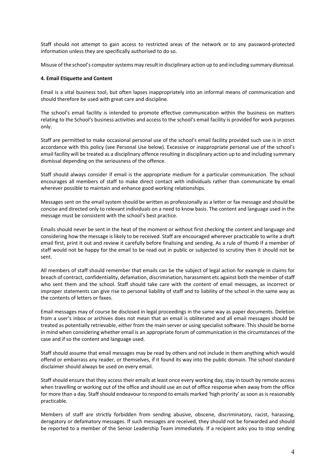Staff should not attempt to gain access to restricted areas of the network or to any password-protected information unless they are specifically authorised to do so.

Misuse of the school's computer systems may result in disciplinary action up to and including summary dismissal.

#### **4. Email Etiquette and Content**

Email is a vital business tool, but often lapses inappropriately into an informal means of communication and should therefore be used with great care and discipline.

The school's email facility is intended to promote effective communication within the business on matters relating to the School's business activities and access to the school's email facility is provided for work purposes only.

Staff are permitted to make occasional personal use of the school's email facility provided such use is in strict accordance with this policy (see Personal Use below). Excessive or inappropriate personal use of the school's email facility will be treated as a disciplinary offence resulting in disciplinary action up to and including summary dismissal depending on the seriousness of the offence.

Staff should always consider if email is the appropriate medium for a particular communication. The school encourages all members of staff to make direct contact with individuals rather than communicate by email wherever possible to maintain and enhance good working relationships.

Messages sent on the email system should be written as professionally as a letter or fax message and should be concise and directed only to relevant individuals on a need to know basis. The content and language used in the message must be consistent with the school's best practice.

Emails should never be sent in the heat of the moment or without first checking the content and language and considering how the message is likely to be received. Staff are encouraged wherever practicable to write a draft email first, print it out and review it carefully before finalising and sending. As a rule of thumb if a member of staff would not be happy for the email to be read out in public or subjected to scrutiny then it should not be sent.

All members of staff should remember that emails can be the subject of legal action for example in claims for breach of contract, confidentiality, defamation, discrimination, harassment etc against both the member of staff who sent them and the school. Staff should take care with the content of email messages, as incorrect or improper statements can give rise to personal liability of staff and to liability of the school in the same way as the contents of letters or faxes.

Email messages may of course be disclosed in legal proceedings in the same way as paper documents. Deletion from a user's inbox or archives does not mean that an email is obliterated and all email messages should be treated as potentially retrievable, either from the main server or using specialist software. This should be borne in mind when considering whether email is an appropriate forum of communication in the circumstances of the case and if so the content and language used.

Staff should assume that email messages may be read by others and not include in them anything which would offend or embarrass any reader, or themselves, if it found its way into the public domain. The school standard disclaimer should always be used on every email.

Staff should ensure that they access their emails at least once every working day, stay in touch by remote access when travelling or working out of the office and should use an out of office response when away from the office for more than a day. Staff should endeavour to respond to emails marked 'high priority' as soon as is reasonably practicable.

Members of staff are strictly forbidden from sending abusive, obscene, discriminatory, racist, harassing, derogatory or defamatory messages. If such messages are received, they should not be forwarded and should be reported to a member of the Senior Leadership Team immediately. If a recipient asks you to stop sending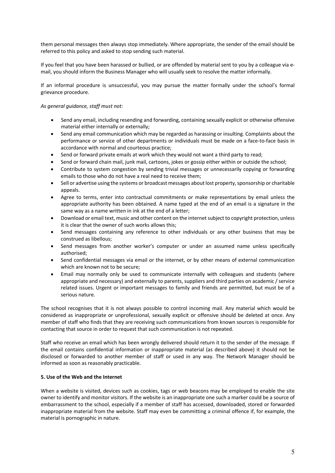them personal messages then always stop immediately. Where appropriate, the sender of the email should be referred to this policy and asked to stop sending such material.

If you feel that you have been harassed or bullied, or are offended by material sent to you by a colleague via email, you should inform the Business Manager who will usually seek to resolve the matter informally.

If an informal procedure is unsuccessful, you may pursue the matter formally under the school's formal grievance procedure.

## *As general guidance, staff must not:*

- Send any email, including resending and forwarding, containing sexually explicit or otherwise offensive material either internally or externally;
- Send any email communication which may be regarded as harassing or insulting. Complaints about the performance or service of other departments or individuals must be made on a face-to-face basis in accordance with normal and courteous practice;
- Send or forward private emails at work which they would not want a third party to read;
- Send or forward chain mail, junk mail, cartoons, jokes or gossip either within or outside the school;
- Contribute to system congestion by sending trivial messages or unnecessarily copying or forwarding emails to those who do not have a real need to receive them;
- Sell or advertise using the systems or broadcast messages about lost property, sponsorship or charitable appeals.
- Agree to terms, enter into contractual commitments or make representations by email unless the appropriate authority has been obtained. A name typed at the end of an email is a signature in the same way as a name written in ink at the end of a letter;
- Download or email text, music and other content on the internet subject to copyright protection, unless it is clear that the owner of such works allows this;
- Send messages containing any reference to other individuals or any other business that may be construed as libellous;
- Send messages from another worker's computer or under an assumed name unless specifically authorised;
- Send confidential messages via email or the internet, or by other means of external communication which are known not to be secure;
- Email may normally only be used to communicate internally with colleagues and students (where appropriate and necessary) and externally to parents, suppliers and third parties on academic / service related issues. Urgent or important messages to family and friends are permitted, but must be of a serious nature.

The school recognises that it is not always possible to control incoming mail. Any material which would be considered as inappropriate or unprofessional, sexually explicit or offensive should be deleted at once. Any member of staff who finds that they are receiving such communications from known sources is responsible for contacting that source in order to request that such communication is not repeated.

Staff who receive an email which has been wrongly delivered should return it to the sender of the message. If the email contains confidential information or inappropriate material (as described above) it should not be disclosed or forwarded to another member of staff or used in any way. The Network Manager should be informed as soon as reasonably practicable.

## **5. Use of the Web and the Internet**

When a website is visited, devices such as cookies, tags or web beacons may be employed to enable the site owner to identify and monitor visitors. If the website is an inappropriate one such a marker could be a source of embarrassment to the school, especially if a member of staff has accessed, downloaded, stored or forwarded inappropriate material from the website. Staff may even be committing a criminal offence if, for example, the material is pornographic in nature.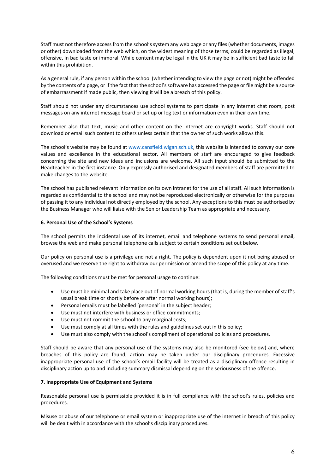Staff must not therefore access from the school's system any web page or any files (whether documents, images or other) downloaded from the web which, on the widest meaning of those terms, could be regarded as illegal, offensive, in bad taste or immoral. While content may be legal in the UK it may be in sufficient bad taste to fall within this prohibition.

As a general rule, if any person within the school (whether intending to view the page or not) might be offended by the contents of a page, or if the fact that the school's software has accessed the page or file might be a source of embarrassment if made public, then viewing it will be a breach of this policy.

Staff should not under any circumstances use school systems to participate in any internet chat room, post messages on any internet message board or set up or log text or information even in their own time.

Remember also that text, music and other content on the internet are copyright works. Staff should not download or email such content to others unless certain that the owner of such works allows this.

The school's website may be found at www.cansfield.wigan.sch.uk, this website is intended to convey our core values and excellence in the educational sector. All members of staff are encouraged to give feedback concerning the site and new ideas and inclusions are welcome. All such input should be submitted to the Headteacher in the first instance. Only expressly authorised and designated members of staff are permitted to make changes to the website.

The school has published relevant information on its own intranet for the use of all staff. All such information is regarded as confidential to the school and may not be reproduced electronically or otherwise for the purposes of passing it to any individual not directly employed by the school. Any exceptions to this must be authorised by the Business Manager who will liaise with the Senior Leadership Team as appropriate and necessary.

## **6. Personal Use of the School's Systems**

The school permits the incidental use of its internet, email and telephone systems to send personal email, browse the web and make personal telephone calls subject to certain conditions set out below.

Our policy on personal use is a privilege and not a right. The policy is dependent upon it not being abused or overused and we reserve the right to withdraw our permission or amend the scope of this policy at any time.

The following conditions must be met for personal usage to continue:

- Use must be minimal and take place out of normal working hours (that is, during the member of staff's usual break time or shortly before or after normal working hours);
- Personal emails must be labelled 'personal' in the subject header;
- Use must not interfere with business or office commitments;
- Use must not commit the school to any marginal costs;
- Use must comply at all times with the rules and guidelines set out in this policy;
- Use must also comply with the school's compliment of operational policies and procedures.

Staff should be aware that any personal use of the systems may also be monitored (see below) and, where breaches of this policy are found, action may be taken under our disciplinary procedures. Excessive inappropriate personal use of the school's email facility will be treated as a disciplinary offence resulting in disciplinary action up to and including summary dismissal depending on the seriousness of the offence.

## **7. Inappropriate Use of Equipment and Systems**

Reasonable personal use is permissible provided it is in full compliance with the school's rules, policies and procedures.

Misuse or abuse of our telephone or email system or inappropriate use of the internet in breach of this policy will be dealt with in accordance with the school's disciplinary procedures.